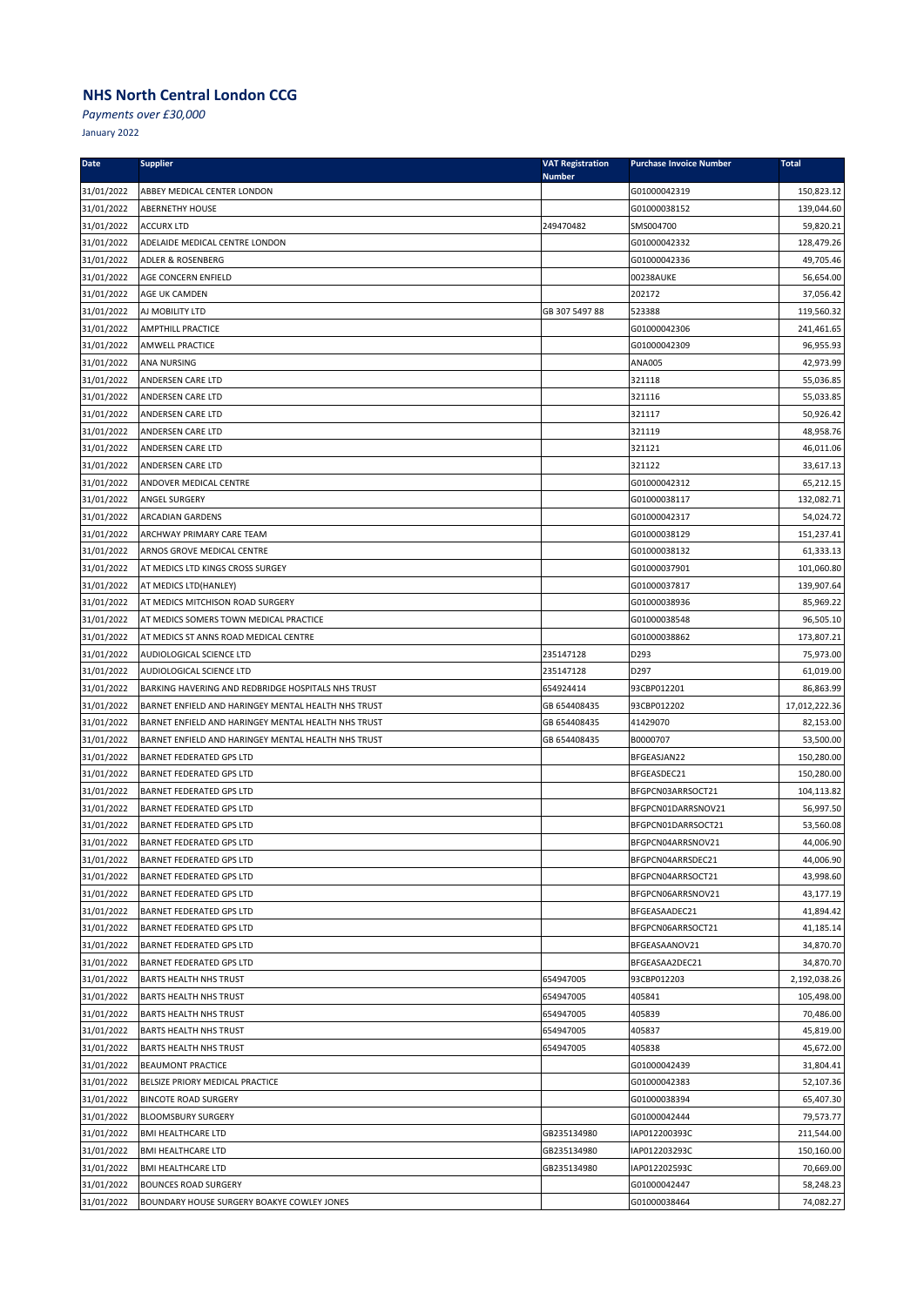*Payments over £30,000*

| <b>Date</b>              | <b>Supplier</b>                                                | <b>VAT Registration</b><br><b>Number</b> | <b>Purchase Invoice Number</b> | <b>Total</b>            |
|--------------------------|----------------------------------------------------------------|------------------------------------------|--------------------------------|-------------------------|
| 31/01/2022               | ABBEY MEDICAL CENTER LONDON                                    |                                          | G01000042319                   | 150,823.12              |
| 31/01/2022               | <b>ABERNETHY HOUSE</b>                                         |                                          | G01000038152                   | 139,044.60              |
| 31/01/2022               | <b>ACCURX LTD</b>                                              | 249470482                                | SMS004700                      | 59,820.21               |
| 31/01/2022               | ADELAIDE MEDICAL CENTRE LONDON                                 |                                          | G01000042332                   | 128,479.26              |
| 31/01/2022               | ADLER & ROSENBERG                                              |                                          | G01000042336                   | 49,705.46               |
| 31/01/2022               | AGE CONCERN ENFIELD                                            |                                          | 00238AUKE                      | 56,654.00               |
| 31/01/2022               | AGE UK CAMDEN                                                  |                                          | 202172                         | 37,056.42               |
| 31/01/2022               | AJ MOBILITY LTD                                                | GB 307 5497 88                           | 523388                         | 119,560.32              |
| 31/01/2022               | <b>AMPTHILL PRACTICE</b>                                       |                                          | G01000042306                   | 241,461.65              |
| 31/01/2022               | AMWELL PRACTICE                                                |                                          | G01000042309                   | 96,955.93               |
| 31/01/2022               | ANA NURSING                                                    |                                          | <b>ANA005</b>                  | 42,973.99               |
| 31/01/2022               | ANDERSEN CARE LTD                                              |                                          | 321118                         | 55,036.85               |
| 31/01/2022               | ANDERSEN CARE LTD                                              |                                          | 321116                         | 55,033.85               |
| 31/01/2022               | ANDERSEN CARE LTD                                              |                                          | 321117                         | 50,926.42               |
| 31/01/2022               | ANDERSEN CARE LTD                                              |                                          | 321119                         | 48,958.76               |
| 31/01/2022               | ANDERSEN CARE LTD                                              |                                          | 321121                         | 46,011.06               |
| 31/01/2022               | ANDERSEN CARE LTD                                              |                                          | 321122                         | 33,617.13               |
| 31/01/2022               | ANDOVER MEDICAL CENTRE                                         |                                          | G01000042312                   | 65,212.15               |
| 31/01/2022               | ANGEL SURGERY                                                  |                                          | G01000038117                   | 132,082.71              |
| 31/01/2022               | ARCADIAN GARDENS                                               |                                          | G01000042317                   | 54,024.72               |
| 31/01/2022               | ARCHWAY PRIMARY CARE TEAM                                      |                                          | G01000038129<br>G01000038132   | 151,237.41              |
| 31/01/2022<br>31/01/2022 | ARNOS GROVE MEDICAL CENTRE<br>AT MEDICS LTD KINGS CROSS SURGEY |                                          | G01000037901                   | 61,333.13<br>101,060.80 |
| 31/01/2022               | AT MEDICS LTD(HANLEY)                                          |                                          | G01000037817                   | 139,907.64              |
| 31/01/2022               | AT MEDICS MITCHISON ROAD SURGERY                               |                                          | G01000038936                   | 85,969.22               |
| 31/01/2022               | AT MEDICS SOMERS TOWN MEDICAL PRACTICE                         |                                          | G01000038548                   | 96,505.10               |
| 31/01/2022               | AT MEDICS ST ANNS ROAD MEDICAL CENTRE                          |                                          | G01000038862                   | 173,807.21              |
| 31/01/2022               | AUDIOLOGICAL SCIENCE LTD                                       | 235147128                                | D293                           | 75,973.00               |
| 31/01/2022               | AUDIOLOGICAL SCIENCE LTD                                       | 235147128                                | D297                           | 61,019.00               |
| 31/01/2022               | BARKING HAVERING AND REDBRIDGE HOSPITALS NHS TRUST             | 654924414                                | 93CBP012201                    | 86,863.99               |
| 31/01/2022               | BARNET ENFIELD AND HARINGEY MENTAL HEALTH NHS TRUST            | GB 654408435                             | 93CBP012202                    | 17,012,222.36           |
| 31/01/2022               | BARNET ENFIELD AND HARINGEY MENTAL HEALTH NHS TRUST            | GB 654408435                             | 41429070                       | 82,153.00               |
| 31/01/2022               | BARNET ENFIELD AND HARINGEY MENTAL HEALTH NHS TRUST            | GB 654408435                             | B0000707                       | 53,500.00               |
| 31/01/2022               | <b>BARNET FEDERATED GPS LTD</b>                                |                                          | BFGEASJAN22                    | 150,280.00              |
| 31/01/2022               | <b>BARNET FEDERATED GPS LTD</b>                                |                                          | BFGEASDEC21                    | 150,280.00              |
| 31/01/2022               | <b>BARNET FEDERATED GPS LTD</b>                                |                                          | BFGPCN03ARRSOCT21              | 104,113.82              |
| 31/01/2022               | <b>BARNET FEDERATED GPS LTD</b>                                |                                          | BFGPCN01DARRSNOV21             | 56,997.50               |
| 31/01/2022               | <b>BARNET FEDERATED GPS LTD</b>                                |                                          | BFGPCN01DARRSOCT21             | 53,560.08               |
| 31/01/2022               | <b>BARNET FEDERATED GPS LTD</b>                                |                                          | BFGPCN04ARRSNOV21              | 44,006.90               |
| 31/01/2022               | <b>BARNET FEDERATED GPS LTD</b>                                |                                          | BFGPCN04ARRSDEC21              | 44,006.90               |
| 31/01/2022               | <b>BARNET FEDERATED GPS LTD</b>                                |                                          | BFGPCN04ARRSOCT21              | 43,998.60               |
| 31/01/2022               | <b>BARNET FEDERATED GPS LTD</b>                                |                                          | BFGPCN06ARRSNOV21              | 43,177.19               |
| 31/01/2022               | <b>BARNET FEDERATED GPS LTD</b>                                |                                          | BFGEASAADEC21                  | 41,894.42               |
| 31/01/2022               | <b>BARNET FEDERATED GPS LTD</b>                                |                                          | BFGPCN06ARRSOCT21              | 41,185.14               |
| 31/01/2022               | <b>BARNET FEDERATED GPS LTD</b>                                |                                          | BFGEASAANOV21                  | 34,870.70               |
| 31/01/2022               | <b>BARNET FEDERATED GPS LTD</b>                                |                                          | BFGEASAA2DEC21                 | 34,870.70               |
| 31/01/2022               | <b>BARTS HEALTH NHS TRUST</b>                                  | 654947005                                | 93CBP012203                    | 2,192,038.26            |
| 31/01/2022               | <b>BARTS HEALTH NHS TRUST</b>                                  | 654947005                                | 405841                         | 105,498.00              |
| 31/01/2022               | <b>BARTS HEALTH NHS TRUST</b>                                  | 654947005                                | 405839                         | 70,486.00               |
| 31/01/2022               | <b>BARTS HEALTH NHS TRUST</b>                                  | 654947005                                | 405837                         | 45,819.00               |
| 31/01/2022               | <b>BARTS HEALTH NHS TRUST</b>                                  | 654947005                                | 405838                         | 45,672.00               |
| 31/01/2022               | <b>BEAUMONT PRACTICE</b>                                       |                                          | G01000042439                   | 31,804.41               |
| 31/01/2022               | BELSIZE PRIORY MEDICAL PRACTICE                                |                                          | G01000042383                   | 52,107.36               |
| 31/01/2022               | <b>BINCOTE ROAD SURGERY</b>                                    |                                          | G01000038394                   | 65,407.30               |
| 31/01/2022               | <b>BLOOMSBURY SURGERY</b>                                      |                                          | G01000042444                   | 79,573.77               |
| 31/01/2022               | <b>BMI HEALTHCARE LTD</b>                                      | GB235134980                              | IAP012200393C                  | 211,544.00              |
| 31/01/2022               | <b>BMI HEALTHCARE LTD</b>                                      | GB235134980                              | IAP012203293C                  | 150,160.00              |
| 31/01/2022               | <b>BMI HEALTHCARE LTD</b>                                      | GB235134980                              | IAP012202593C                  | 70,669.00               |
| 31/01/2022               | <b>BOUNCES ROAD SURGERY</b>                                    |                                          | G01000042447                   | 58,248.23               |
| 31/01/2022               | BOUNDARY HOUSE SURGERY BOAKYE COWLEY JONES                     |                                          | G01000038464                   | 74,082.27               |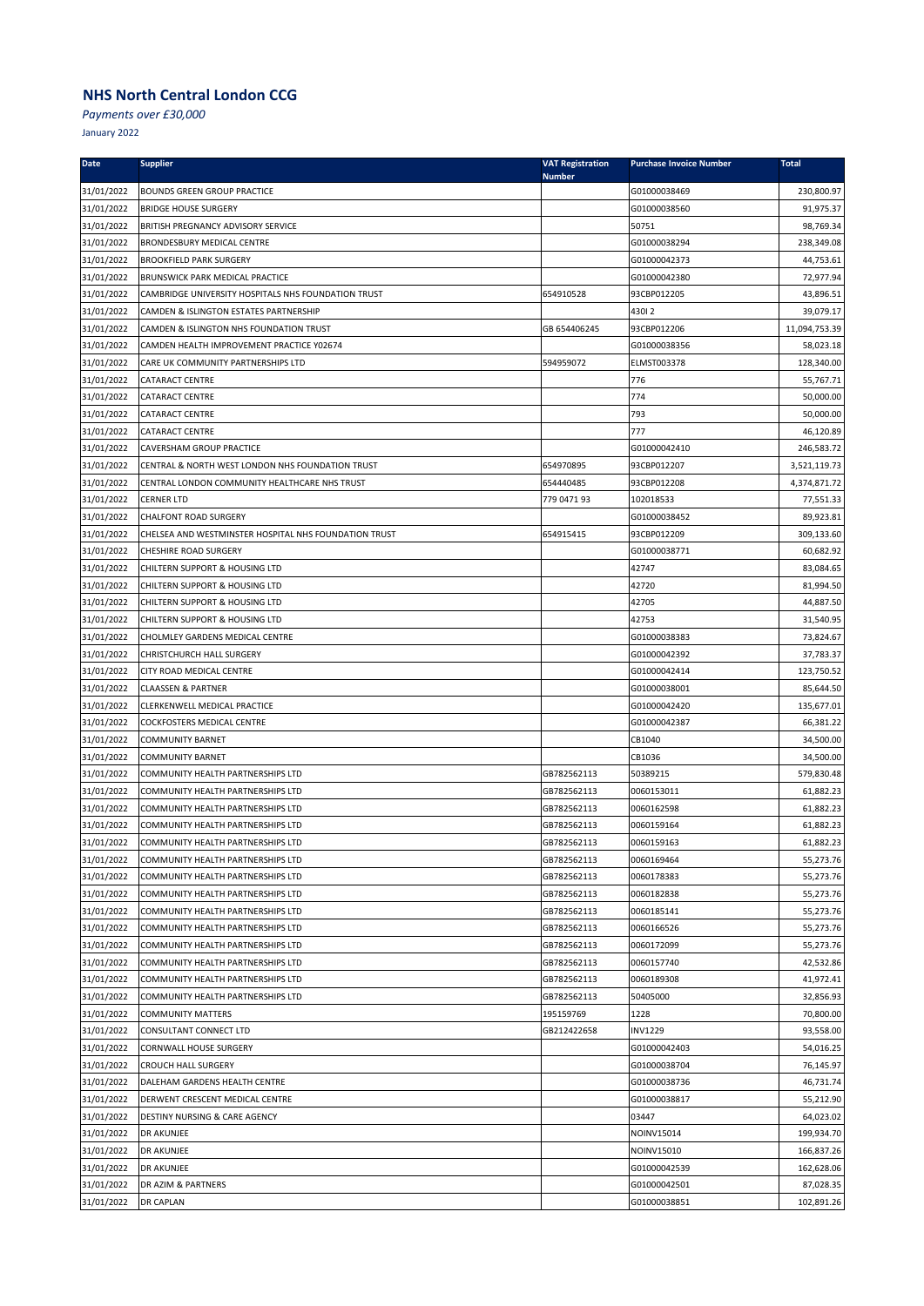*Payments over £30,000*

| <b>Date</b>              | <b>Supplier</b>                                                   | <b>VAT Registration</b><br><b>Number</b> | <b>Purchase Invoice Number</b> | <b>Total</b>           |
|--------------------------|-------------------------------------------------------------------|------------------------------------------|--------------------------------|------------------------|
| 31/01/2022               | <b>BOUNDS GREEN GROUP PRACTICE</b>                                |                                          | G01000038469                   | 230,800.97             |
| 31/01/2022               | <b>BRIDGE HOUSE SURGERY</b>                                       |                                          | G01000038560                   | 91,975.37              |
| 31/01/2022               | <b>BRITISH PREGNANCY ADVISORY SERVICE</b>                         |                                          | 50751                          | 98,769.34              |
| 31/01/2022               | <b>BRONDESBURY MEDICAL CENTRE</b>                                 |                                          | G01000038294                   | 238,349.08             |
| 31/01/2022               | <b>BROOKFIELD PARK SURGERY</b>                                    |                                          | G01000042373                   | 44,753.61              |
| 31/01/2022               | BRUNSWICK PARK MEDICAL PRACTICE                                   |                                          | G01000042380                   | 72,977.94              |
| 31/01/2022               | CAMBRIDGE UNIVERSITY HOSPITALS NHS FOUNDATION TRUST               | 654910528                                | 93CBP012205                    | 43,896.51              |
| 31/01/2022               | CAMDEN & ISLINGTON ESTATES PARTNERSHIP                            |                                          | 43012                          | 39,079.17              |
| 31/01/2022               | CAMDEN & ISLINGTON NHS FOUNDATION TRUST                           | GB 654406245                             | 93CBP012206                    | 11,094,753.39          |
| 31/01/2022               | CAMDEN HEALTH IMPROVEMENT PRACTICE Y02674                         |                                          | G01000038356                   | 58,023.18              |
| 31/01/2022               | CARE UK COMMUNITY PARTNERSHIPS LTD                                | 594959072                                | ELMST003378                    | 128,340.00             |
| 31/01/2022               | CATARACT CENTRE                                                   |                                          | 776                            | 55,767.71              |
| 31/01/2022               | CATARACT CENTRE                                                   |                                          | 774                            | 50,000.00              |
| 31/01/2022               | <b>CATARACT CENTRE</b>                                            |                                          | 793                            | 50,000.00              |
| 31/01/2022               | CATARACT CENTRE                                                   |                                          | 777                            | 46,120.89              |
| 31/01/2022               | CAVERSHAM GROUP PRACTICE                                          |                                          | G01000042410                   | 246,583.72             |
| 31/01/2022               | CENTRAL & NORTH WEST LONDON NHS FOUNDATION TRUST                  | 654970895                                | 93CBP012207                    | 3,521,119.73           |
| 31/01/2022               | CENTRAL LONDON COMMUNITY HEALTHCARE NHS TRUST                     | 654440485                                | 93CBP012208                    | 4,374,871.72           |
| 31/01/2022               | <b>CERNER LTD</b>                                                 | 779 0471 93                              | 102018533                      | 77,551.33              |
| 31/01/2022               | <b>CHALFONT ROAD SURGERY</b>                                      |                                          | G01000038452                   | 89,923.81              |
| 31/01/2022               | CHELSEA AND WESTMINSTER HOSPITAL NHS FOUNDATION TRUST             | 654915415                                | 93CBP012209                    | 309,133.60             |
| 31/01/2022               | <b>CHESHIRE ROAD SURGERY</b>                                      |                                          | G01000038771                   | 60,682.92              |
| 31/01/2022               | CHILTERN SUPPORT & HOUSING LTD                                    |                                          | 42747                          | 83,084.65              |
| 31/01/2022               | CHILTERN SUPPORT & HOUSING LTD                                    |                                          | 42720                          | 81,994.50              |
| 31/01/2022               | CHILTERN SUPPORT & HOUSING LTD                                    |                                          | 42705                          | 44,887.50              |
| 31/01/2022<br>31/01/2022 | CHILTERN SUPPORT & HOUSING LTD<br>CHOLMLEY GARDENS MEDICAL CENTRE |                                          | 42753<br>G01000038383          | 31,540.95<br>73,824.67 |
| 31/01/2022               | CHRISTCHURCH HALL SURGERY                                         |                                          | G01000042392                   | 37,783.37              |
| 31/01/2022               | CITY ROAD MEDICAL CENTRE                                          |                                          | G01000042414                   | 123,750.52             |
| 31/01/2022               | <b>CLAASSEN &amp; PARTNER</b>                                     |                                          | G01000038001                   | 85,644.50              |
| 31/01/2022               | CLERKENWELL MEDICAL PRACTICE                                      |                                          | G01000042420                   | 135,677.01             |
| 31/01/2022               | COCKFOSTERS MEDICAL CENTRE                                        |                                          | G01000042387                   | 66,381.22              |
| 31/01/2022               | <b>COMMUNITY BARNET</b>                                           |                                          | CB1040                         | 34,500.00              |
| 31/01/2022               | <b>COMMUNITY BARNET</b>                                           |                                          | CB1036                         | 34,500.00              |
| 31/01/2022               | COMMUNITY HEALTH PARTNERSHIPS LTD                                 | GB782562113                              | 50389215                       | 579,830.48             |
| 31/01/2022               | COMMUNITY HEALTH PARTNERSHIPS LTD                                 | GB782562113                              | 0060153011                     | 61,882.23              |
| 31/01/2022               | COMMUNITY HEALTH PARTNERSHIPS LTD                                 | GB782562113                              | 0060162598                     | 61,882.23              |
| 31/01/2022               | COMMUNITY HEALTH PARTNERSHIPS LTD                                 | GB782562113                              | 0060159164                     | 61,882.23              |
| 31/01/2022               | COMMUNITY HEALTH PARTNERSHIPS LTD                                 | GB782562113                              | 0060159163                     | 61,882.23              |
| 31/01/2022               | COMMUNITY HEALTH PARTNERSHIPS LTD                                 | GB782562113                              | 0060169464                     | 55,273.76              |
| 31/01/2022               | COMMUNITY HEALTH PARTNERSHIPS LTD                                 | GB782562113                              | 0060178383                     | 55,273.76              |
| 31/01/2022               | COMMUNITY HEALTH PARTNERSHIPS LTD                                 | GB782562113                              | 0060182838                     | 55,273.76              |
| 31/01/2022               | COMMUNITY HEALTH PARTNERSHIPS LTD                                 | GB782562113                              | 0060185141                     | 55,273.76              |
| 31/01/2022               | COMMUNITY HEALTH PARTNERSHIPS LTD                                 | GB782562113                              | 0060166526                     | 55,273.76              |
| 31/01/2022               | COMMUNITY HEALTH PARTNERSHIPS LTD                                 | GB782562113                              | 0060172099                     | 55,273.76              |
| 31/01/2022               | COMMUNITY HEALTH PARTNERSHIPS LTD                                 | GB782562113                              | 0060157740                     | 42,532.86              |
| 31/01/2022               | COMMUNITY HEALTH PARTNERSHIPS LTD                                 | GB782562113                              | 0060189308                     | 41,972.41              |
| 31/01/2022               | COMMUNITY HEALTH PARTNERSHIPS LTD                                 | GB782562113                              | 50405000                       | 32,856.93              |
| 31/01/2022               | <b>COMMUNITY MATTERS</b>                                          | 195159769                                | 1228                           | 70,800.00              |
| 31/01/2022               | CONSULTANT CONNECT LTD                                            | GB212422658                              | <b>INV1229</b>                 | 93,558.00              |
| 31/01/2022               | <b>CORNWALL HOUSE SURGERY</b>                                     |                                          | G01000042403                   | 54,016.25              |
| 31/01/2022               | <b>CROUCH HALL SURGERY</b>                                        |                                          | G01000038704                   | 76,145.97              |
| 31/01/2022               | DALEHAM GARDENS HEALTH CENTRE                                     |                                          | G01000038736                   | 46,731.74              |
| 31/01/2022               | DERWENT CRESCENT MEDICAL CENTRE                                   |                                          | G01000038817                   | 55,212.90              |
| 31/01/2022               | <b>DESTINY NURSING &amp; CARE AGENCY</b>                          |                                          | 03447                          | 64,023.02              |
| 31/01/2022               | DR AKUNJEE                                                        |                                          | NOINV15014                     | 199,934.70             |
| 31/01/2022               | <b>DR AKUNJEE</b>                                                 |                                          | NOINV15010                     | 166,837.26             |
| 31/01/2022               | <b>DR AKUNJEE</b>                                                 |                                          | G01000042539                   | 162,628.06             |
| 31/01/2022               | DR AZIM & PARTNERS                                                |                                          | G01000042501                   | 87,028.35              |
| 31/01/2022               | <b>DR CAPLAN</b>                                                  |                                          | G01000038851                   | 102,891.26             |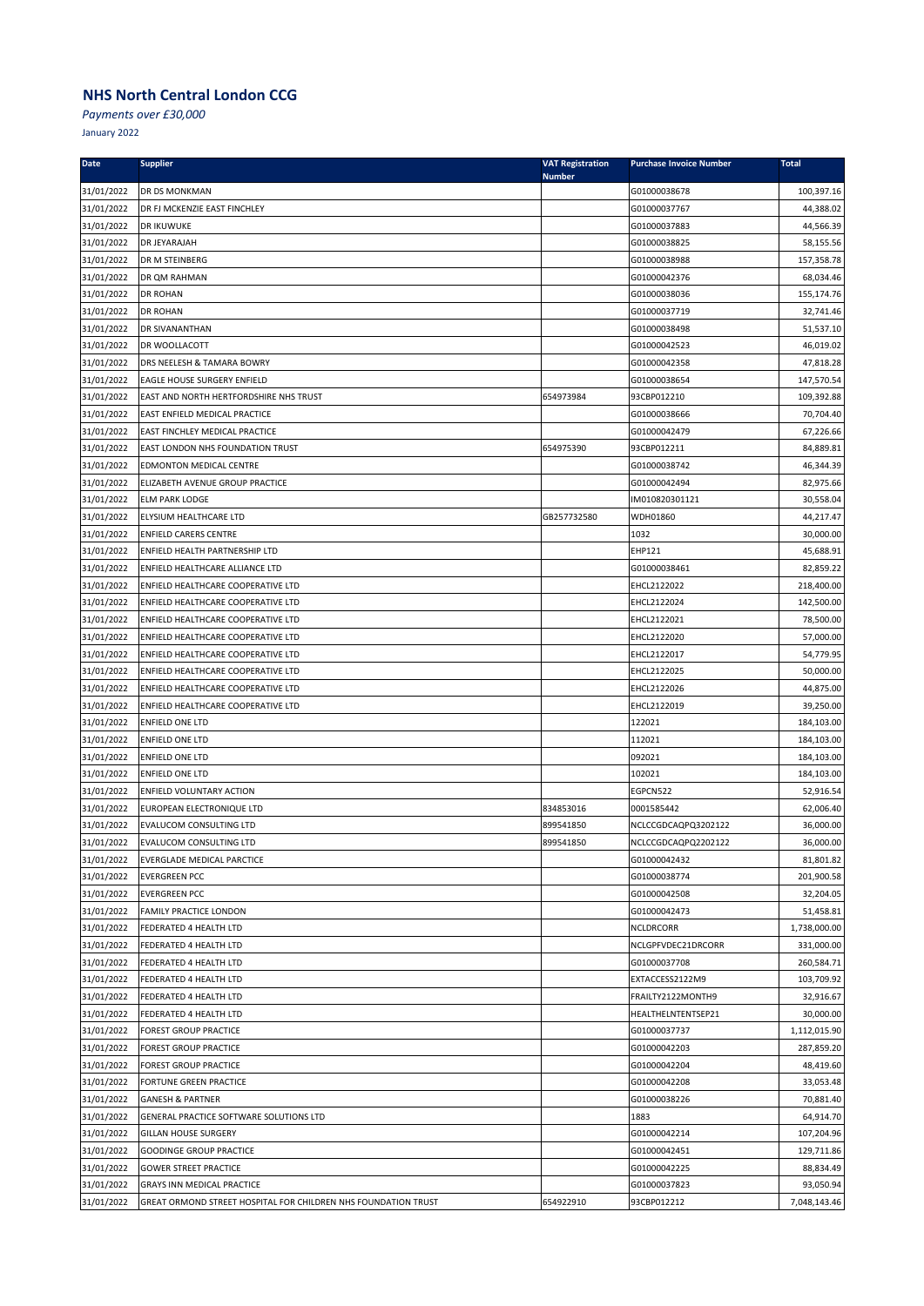*Payments over £30,000*

| <b>Date</b>              | <b>Supplier</b>                                                | <b>VAT Registration</b> | <b>Purchase Invoice Number</b> | <b>Total</b>            |
|--------------------------|----------------------------------------------------------------|-------------------------|--------------------------------|-------------------------|
| 31/01/2022               | DR DS MONKMAN                                                  | <b>Number</b>           | G01000038678                   | 100,397.16              |
| 31/01/2022               | DR FJ MCKENZIE EAST FINCHLEY                                   |                         | G01000037767                   | 44,388.02               |
| 31/01/2022               | DR IKUWUKE                                                     |                         | G01000037883                   | 44,566.39               |
| 31/01/2022               | DR JEYARAJAH                                                   |                         | G01000038825                   | 58,155.56               |
| 31/01/2022               | DR M STEINBERG                                                 |                         | G01000038988                   | 157,358.78              |
| 31/01/2022               | DR QM RAHMAN                                                   |                         | G01000042376                   | 68,034.46               |
| 31/01/2022               | <b>DR ROHAN</b>                                                |                         | G01000038036                   | 155,174.76              |
| 31/01/2022               | <b>DR ROHAN</b>                                                |                         | G01000037719                   | 32,741.46               |
| 31/01/2022               | DR SIVANANTHAN                                                 |                         | G01000038498                   | 51,537.10               |
| 31/01/2022               | DR WOOLLACOTT                                                  |                         | G01000042523                   | 46,019.02               |
| 31/01/2022               | DRS NEELESH & TAMARA BOWRY                                     |                         | G01000042358                   | 47,818.28               |
| 31/01/2022               | EAGLE HOUSE SURGERY ENFIELD                                    |                         | G01000038654                   | 147,570.54              |
| 31/01/2022               | EAST AND NORTH HERTFORDSHIRE NHS TRUST                         | 654973984               | 93CBP012210                    | 109,392.88              |
| 31/01/2022               | EAST ENFIELD MEDICAL PRACTICE                                  |                         | G01000038666                   | 70,704.40               |
| 31/01/2022               | EAST FINCHLEY MEDICAL PRACTICE                                 |                         | G01000042479                   | 67,226.66               |
| 31/01/2022               | EAST LONDON NHS FOUNDATION TRUST                               | 654975390               | 93CBP012211                    | 84,889.81               |
| 31/01/2022               | EDMONTON MEDICAL CENTRE                                        |                         | G01000038742                   | 46,344.39               |
| 31/01/2022               | ELIZABETH AVENUE GROUP PRACTICE                                |                         | G01000042494                   | 82,975.66               |
| 31/01/2022               | <b>ELM PARK LODGE</b>                                          |                         | IM010820301121                 | 30,558.04               |
| 31/01/2022               | ELYSIUM HEALTHCARE LTD                                         | GB257732580             | WDH01860                       | 44,217.47               |
| 31/01/2022               | <b>ENFIELD CARERS CENTRE</b>                                   |                         | 1032                           | 30,000.00               |
| 31/01/2022               | ENFIELD HEALTH PARTNERSHIP LTD                                 |                         | EHP121                         | 45,688.91               |
| 31/01/2022               | ENFIELD HEALTHCARE ALLIANCE LTD                                |                         | G01000038461                   | 82,859.22               |
| 31/01/2022               | ENFIELD HEALTHCARE COOPERATIVE LTD                             |                         | EHCL2122022                    | 218,400.00              |
| 31/01/2022               | ENFIELD HEALTHCARE COOPERATIVE LTD                             |                         | EHCL2122024                    | 142,500.00              |
| 31/01/2022               | ENFIELD HEALTHCARE COOPERATIVE LTD                             |                         | EHCL2122021                    | 78,500.00               |
| 31/01/2022               | ENFIELD HEALTHCARE COOPERATIVE LTD                             |                         | EHCL2122020                    | 57,000.00               |
| 31/01/2022               | ENFIELD HEALTHCARE COOPERATIVE LTD                             |                         | EHCL2122017                    | 54,779.95               |
| 31/01/2022               | ENFIELD HEALTHCARE COOPERATIVE LTD                             |                         | EHCL2122025                    | 50,000.00               |
| 31/01/2022               | ENFIELD HEALTHCARE COOPERATIVE LTD                             |                         | EHCL2122026                    | 44,875.00               |
| 31/01/2022               | ENFIELD HEALTHCARE COOPERATIVE LTD                             |                         | EHCL2122019<br>122021          | 39,250.00<br>184,103.00 |
| 31/01/2022               | ENFIELD ONE LTD<br>ENFIELD ONE LTD                             |                         | 112021                         | 184,103.00              |
| 31/01/2022<br>31/01/2022 | ENFIELD ONE LTD                                                |                         | 092021                         | 184,103.00              |
| 31/01/2022               | ENFIELD ONE LTD                                                |                         | 102021                         | 184,103.00              |
| 31/01/2022               | ENFIELD VOLUNTARY ACTION                                       |                         | EGPCN522                       | 52,916.54               |
| 31/01/2022               | EUROPEAN ELECTRONIQUE LTD                                      | 834853016               | 0001585442                     | 62,006.40               |
| 31/01/2022               | <b>EVALUCOM CONSULTING LTD</b>                                 | 899541850               | NCLCCGDCAQPQ3202122            | 36,000.00               |
| 31/01/2022               | <b>EVALUCOM CONSULTING LTD</b>                                 | 899541850               | NCLCCGDCAQPQ2202122            | 36,000.00               |
| 31/01/2022               | <b>EVERGLADE MEDICAL PARCTICE</b>                              |                         | G01000042432                   | 81,801.82               |
| 31/01/2022               | <b>EVERGREEN PCC</b>                                           |                         | G01000038774                   | 201,900.58              |
| 31/01/2022               | <b>EVERGREEN PCC</b>                                           |                         | G01000042508                   | 32,204.05               |
| 31/01/2022               | FAMILY PRACTICE LONDON                                         |                         | G01000042473                   | 51,458.81               |
| 31/01/2022               | FEDERATED 4 HEALTH LTD                                         |                         | NCLDRCORR                      | 1,738,000.00            |
| 31/01/2022               | FEDERATED 4 HEALTH LTD                                         |                         | NCLGPFVDEC21DRCORR             | 331,000.00              |
| 31/01/2022               | FEDERATED 4 HEALTH LTD                                         |                         | G01000037708                   | 260,584.71              |
| 31/01/2022               | FEDERATED 4 HEALTH LTD                                         |                         | EXTACCESS2122M9                | 103,709.92              |
| 31/01/2022               | FEDERATED 4 HEALTH LTD                                         |                         | FRAILTY2122MONTH9              | 32,916.67               |
| 31/01/2022               | FEDERATED 4 HEALTH LTD                                         |                         | HEALTHELNTENTSEP21             | 30,000.00               |
| 31/01/2022               | <b>FOREST GROUP PRACTICE</b>                                   |                         | G01000037737                   | 1,112,015.90            |
| 31/01/2022               | <b>FOREST GROUP PRACTICE</b>                                   |                         | G01000042203                   | 287,859.20              |
| 31/01/2022               | <b>FOREST GROUP PRACTICE</b>                                   |                         | G01000042204                   | 48,419.60               |
| 31/01/2022               | FORTUNE GREEN PRACTICE                                         |                         | G01000042208                   | 33,053.48               |
| 31/01/2022               | <b>GANESH &amp; PARTNER</b>                                    |                         | G01000038226                   | 70,881.40               |
| 31/01/2022               | GENERAL PRACTICE SOFTWARE SOLUTIONS LTD                        |                         | 1883                           | 64,914.70               |
| 31/01/2022               | <b>GILLAN HOUSE SURGERY</b>                                    |                         | G01000042214                   | 107,204.96              |
| 31/01/2022               | <b>GOODINGE GROUP PRACTICE</b>                                 |                         | G01000042451                   | 129,711.86              |
| 31/01/2022               | <b>GOWER STREET PRACTICE</b>                                   |                         | G01000042225                   | 88,834.49               |
| 31/01/2022               | GRAYS INN MEDICAL PRACTICE                                     |                         | G01000037823                   | 93,050.94               |
| 31/01/2022               | GREAT ORMOND STREET HOSPITAL FOR CHILDREN NHS FOUNDATION TRUST | 654922910               | 93CBP012212                    | 7,048,143.46            |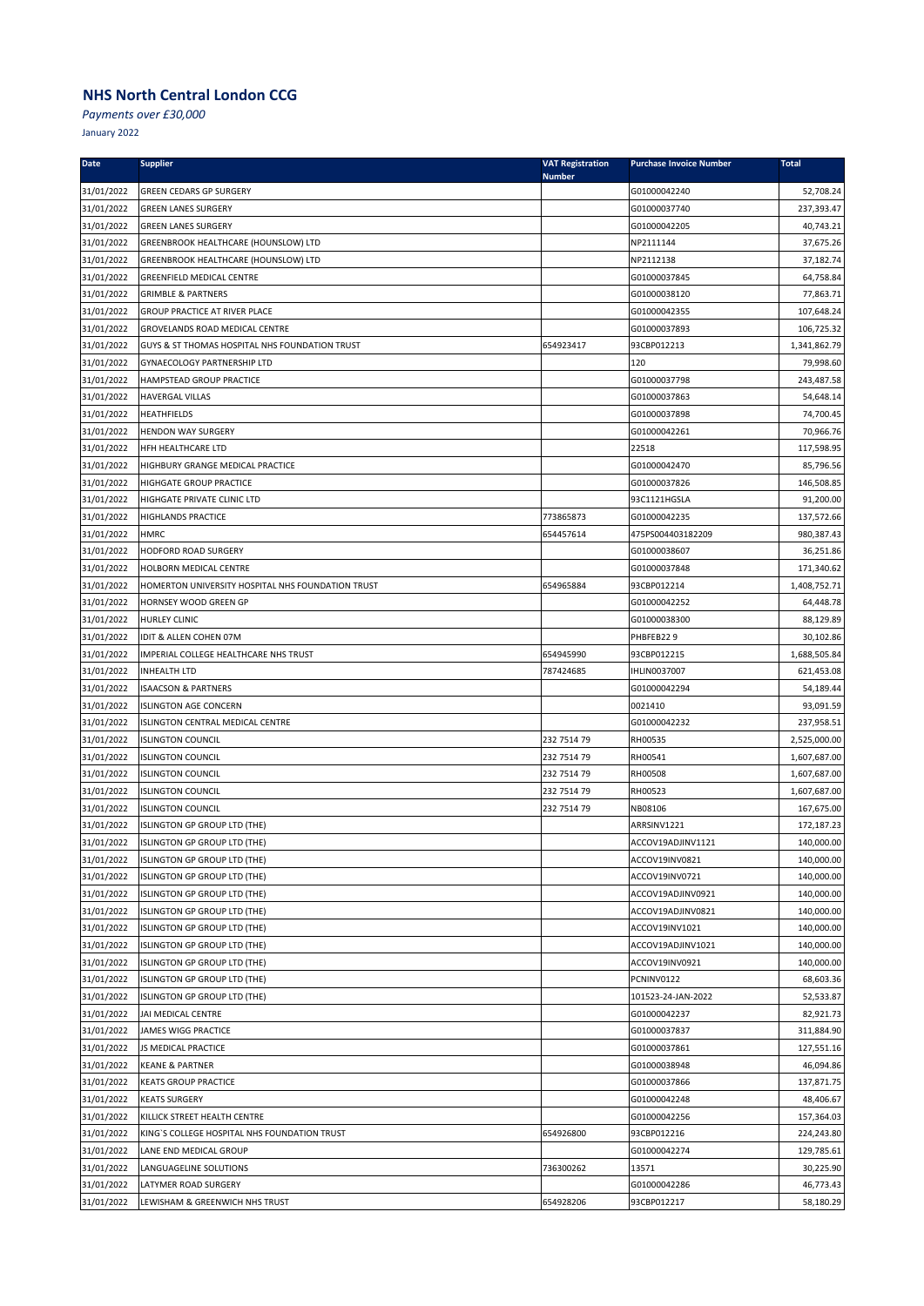*Payments over £30,000*

| <b>Date</b>              | <b>Supplier</b>                                                            | <b>VAT Registration</b><br><b>Number</b> | <b>Purchase Invoice Number</b> | <b>Total</b>               |
|--------------------------|----------------------------------------------------------------------------|------------------------------------------|--------------------------------|----------------------------|
| 31/01/2022               | <b>GREEN CEDARS GP SURGERY</b>                                             |                                          | G01000042240                   | 52,708.24                  |
| 31/01/2022               | <b>GREEN LANES SURGERY</b>                                                 |                                          | G01000037740                   | 237,393.47                 |
| 31/01/2022               | <b>GREEN LANES SURGERY</b>                                                 |                                          | G01000042205                   | 40,743.21                  |
| 31/01/2022               | GREENBROOK HEALTHCARE (HOUNSLOW) LTD                                       |                                          | NP2111144                      | 37,675.26                  |
| 31/01/2022               | GREENBROOK HEALTHCARE (HOUNSLOW) LTD                                       |                                          | NP2112138                      | 37,182.74                  |
| 31/01/2022               | <b>GREENFIELD MEDICAL CENTRE</b>                                           |                                          | G01000037845                   | 64,758.84                  |
| 31/01/2022               | <b>GRIMBLE &amp; PARTNERS</b>                                              |                                          | G01000038120                   | 77,863.71                  |
| 31/01/2022               | GROUP PRACTICE AT RIVER PLACE                                              |                                          | G01000042355                   | 107,648.24                 |
| 31/01/2022               | GROVELANDS ROAD MEDICAL CENTRE                                             |                                          | G01000037893                   | 106,725.32                 |
| 31/01/2022               | GUYS & ST THOMAS HOSPITAL NHS FOUNDATION TRUST                             | 654923417                                | 93CBP012213                    | 1,341,862.79               |
| 31/01/2022               | <b>GYNAECOLOGY PARTNERSHIP LTD</b>                                         |                                          | 120                            | 79,998.60                  |
| 31/01/2022               | HAMPSTEAD GROUP PRACTICE                                                   |                                          | G01000037798                   | 243,487.58                 |
| 31/01/2022               | <b>HAVERGAL VILLAS</b>                                                     |                                          | G01000037863                   | 54,648.14                  |
| 31/01/2022               | <b>HEATHFIELDS</b>                                                         |                                          | G01000037898                   | 74,700.45                  |
| 31/01/2022               | <b>HENDON WAY SURGERY</b>                                                  |                                          | G01000042261                   | 70,966.76                  |
| 31/01/2022               | HFH HEALTHCARE LTD                                                         |                                          | 22518                          | 117,598.95                 |
| 31/01/2022               | HIGHBURY GRANGE MEDICAL PRACTICE                                           |                                          | G01000042470                   | 85,796.56                  |
| 31/01/2022               | <b>HIGHGATE GROUP PRACTICE</b>                                             |                                          | G01000037826                   | 146,508.85                 |
| 31/01/2022               | HIGHGATE PRIVATE CLINIC LTD                                                |                                          | 93C1121HGSLA                   | 91,200.00                  |
| 31/01/2022               | HIGHLANDS PRACTICE                                                         | 773865873                                | G01000042235                   | 137,572.66                 |
| 31/01/2022               | <b>HMRC</b>                                                                | 654457614                                | 475PS004403182209              | 980,387.43                 |
| 31/01/2022               | HODFORD ROAD SURGERY                                                       |                                          | G01000038607                   | 36,251.86                  |
| 31/01/2022               | HOLBORN MEDICAL CENTRE                                                     |                                          | G01000037848                   | 171,340.62<br>1,408,752.71 |
| 31/01/2022               | HOMERTON UNIVERSITY HOSPITAL NHS FOUNDATION TRUST<br>HORNSEY WOOD GREEN GP | 654965884                                | 93CBP012214<br>G01000042252    | 64,448.78                  |
| 31/01/2022<br>31/01/2022 |                                                                            |                                          |                                | 88,129.89                  |
| 31/01/2022               | <b>HURLEY CLINIC</b><br>IDIT & ALLEN COHEN 07M                             |                                          | G01000038300<br>PHBFEB229      | 30,102.86                  |
| 31/01/2022               | IMPERIAL COLLEGE HEALTHCARE NHS TRUST                                      | 654945990                                | 93CBP012215                    | 1,688,505.84               |
| 31/01/2022               | <b>INHEALTH LTD</b>                                                        | 787424685                                | <b>IHLIN0037007</b>            | 621,453.08                 |
| 31/01/2022               | <b>ISAACSON &amp; PARTNERS</b>                                             |                                          | G01000042294                   | 54,189.44                  |
| 31/01/2022               | <b>ISLINGTON AGE CONCERN</b>                                               |                                          | 0021410                        | 93,091.59                  |
| 31/01/2022               | ISLINGTON CENTRAL MEDICAL CENTRE                                           |                                          | G01000042232                   | 237,958.51                 |
| 31/01/2022               | <b>ISLINGTON COUNCIL</b>                                                   | 232 7514 79                              | RH00535                        | 2,525,000.00               |
| 31/01/2022               | <b>ISLINGTON COUNCIL</b>                                                   | 232 7514 79                              | RH00541                        | 1,607,687.00               |
| 31/01/2022               | <b>ISLINGTON COUNCIL</b>                                                   | 232 7514 79                              | RH00508                        | 1,607,687.00               |
| 31/01/2022               | <b>ISLINGTON COUNCIL</b>                                                   | 232 7514 79                              | RH00523                        | 1,607,687.00               |
| 31/01/2022               | <b>ISLINGTON COUNCIL</b>                                                   | 232 7514 79                              | NB08106                        | 167,675.00                 |
| 31/01/2022               | ISLINGTON GP GROUP LTD (THE)                                               |                                          | ARRSINV1221                    | 172,187.23                 |
| 31/01/2022               | ISLINGTON GP GROUP LTD (THE)                                               |                                          | ACCOV19ADJINV1121              | 140,000.00                 |
| 31/01/2022               | ISLINGTON GP GROUP LTD (THE)                                               |                                          | ACCOV19INV0821                 | 140,000.00                 |
| 31/01/2022               | ISLINGTON GP GROUP LTD (THE)                                               |                                          | ACCOV19INV0721                 | 140,000.00                 |
| 31/01/2022               | ISLINGTON GP GROUP LTD (THE)                                               |                                          | ACCOV19ADJINV0921              | 140,000.00                 |
| 31/01/2022               | ISLINGTON GP GROUP LTD (THE)                                               |                                          | ACCOV19ADJINV0821              | 140,000.00                 |
| 31/01/2022               | ISLINGTON GP GROUP LTD (THE)                                               |                                          | ACCOV19INV1021                 | 140,000.00                 |
| 31/01/2022               | ISLINGTON GP GROUP LTD (THE)                                               |                                          | ACCOV19ADJINV1021              | 140,000.00                 |
| 31/01/2022               | ISLINGTON GP GROUP LTD (THE)                                               |                                          | ACCOV19INV0921                 | 140,000.00                 |
| 31/01/2022               | ISLINGTON GP GROUP LTD (THE)                                               |                                          | PCNINV0122                     | 68,603.36                  |
| 31/01/2022               | ISLINGTON GP GROUP LTD (THE)                                               |                                          | 101523-24-JAN-2022             | 52,533.87                  |
| 31/01/2022               | JAI MEDICAL CENTRE                                                         |                                          | G01000042237                   | 82,921.73                  |
| 31/01/2022               | JAMES WIGG PRACTICE                                                        |                                          | G01000037837                   | 311,884.90                 |
| 31/01/2022               | JS MEDICAL PRACTICE                                                        |                                          | G01000037861                   | 127,551.16                 |
| 31/01/2022               | <b>KEANE &amp; PARTNER</b>                                                 |                                          | G01000038948                   | 46,094.86                  |
| 31/01/2022               | <b>KEATS GROUP PRACTICE</b>                                                |                                          | G01000037866                   | 137,871.75                 |
| 31/01/2022               | <b>KEATS SURGERY</b>                                                       |                                          | G01000042248                   | 48,406.67                  |
| 31/01/2022               | KILLICK STREET HEALTH CENTRE                                               |                                          | G01000042256                   | 157,364.03                 |
| 31/01/2022               | KING'S COLLEGE HOSPITAL NHS FOUNDATION TRUST                               | 654926800                                | 93CBP012216                    | 224,243.80                 |
| 31/01/2022               | LANE END MEDICAL GROUP                                                     |                                          | G01000042274                   | 129,785.61                 |
| 31/01/2022               | LANGUAGELINE SOLUTIONS                                                     | 736300262                                | 13571                          | 30,225.90                  |
| 31/01/2022               | LATYMER ROAD SURGERY                                                       |                                          | G01000042286                   | 46,773.43                  |
| 31/01/2022               | LEWISHAM & GREENWICH NHS TRUST                                             | 654928206                                | 93CBP012217                    | 58,180.29                  |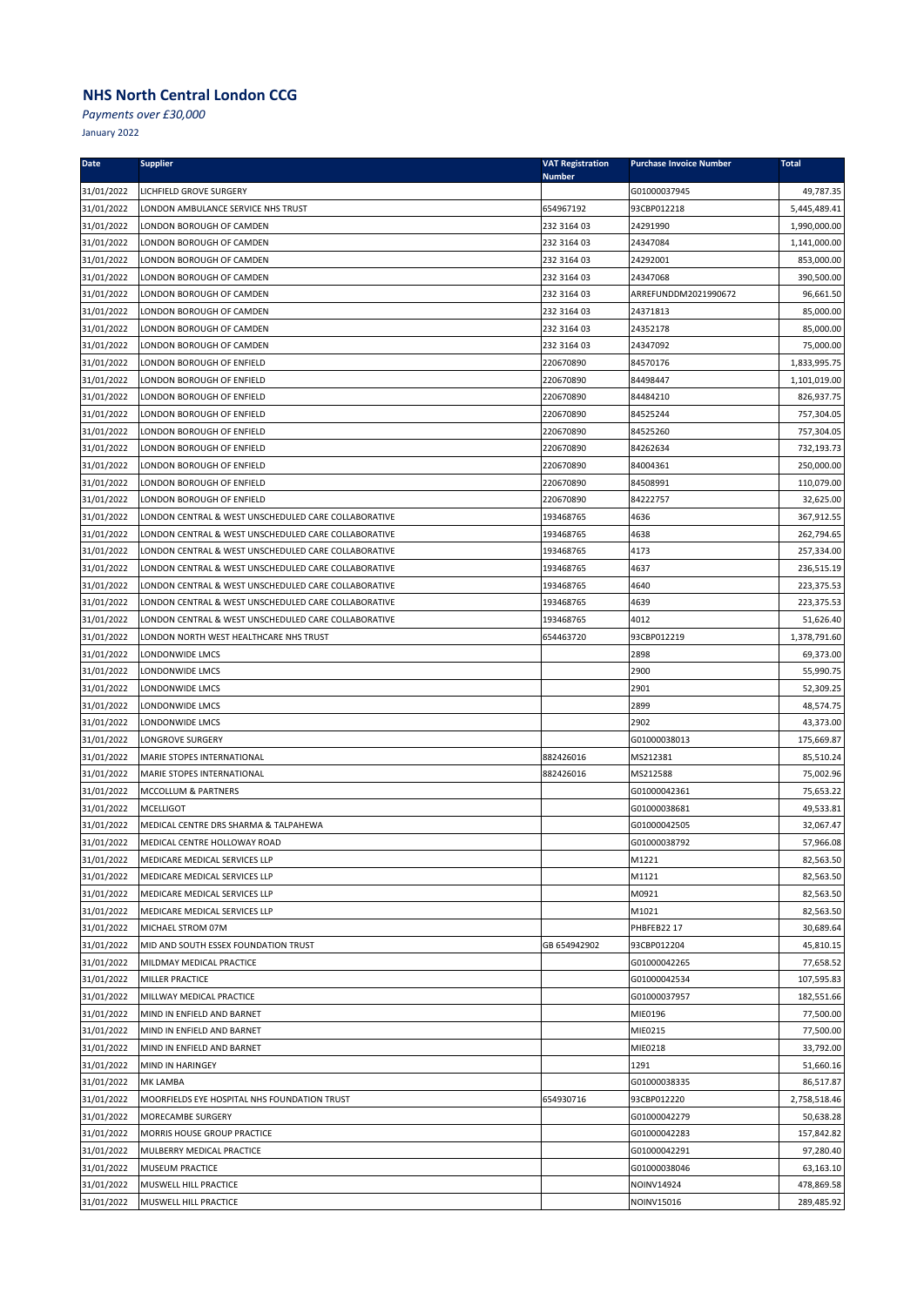*Payments over £30,000*

| <b>Date</b>              | <b>Supplier</b>                                        | <b>VAT Registration</b><br><b>Number</b> | <b>Purchase Invoice Number</b> | <b>Total</b>            |
|--------------------------|--------------------------------------------------------|------------------------------------------|--------------------------------|-------------------------|
| 31/01/2022               | LICHFIELD GROVE SURGERY                                |                                          | G01000037945                   | 49,787.35               |
| 31/01/2022               | LONDON AMBULANCE SERVICE NHS TRUST                     | 654967192                                | 93CBP012218                    | 5,445,489.41            |
| 31/01/2022               | LONDON BOROUGH OF CAMDEN                               | 232 3164 03                              | 24291990                       | 1,990,000.00            |
| 31/01/2022               | LONDON BOROUGH OF CAMDEN                               | 232 3164 03                              | 24347084                       | 1,141,000.00            |
| 31/01/2022               | LONDON BOROUGH OF CAMDEN                               | 232 3164 03                              | 24292001                       | 853,000.00              |
| 31/01/2022               | LONDON BOROUGH OF CAMDEN                               | 232 3164 03                              | 24347068                       | 390,500.00              |
| 31/01/2022               | LONDON BOROUGH OF CAMDEN                               | 232 3164 03                              | ARREFUNDDM2021990672           | 96,661.50               |
| 31/01/2022               | LONDON BOROUGH OF CAMDEN                               | 232 3164 03                              | 24371813                       | 85,000.00               |
| 31/01/2022               | LONDON BOROUGH OF CAMDEN                               | 232 3164 03                              | 24352178                       | 85,000.00               |
| 31/01/2022               | LONDON BOROUGH OF CAMDEN                               | 232 3164 03                              | 24347092                       | 75,000.00               |
| 31/01/2022               | LONDON BOROUGH OF ENFIELD                              | 220670890                                | 84570176                       | 1,833,995.75            |
| 31/01/2022               | LONDON BOROUGH OF ENFIELD                              | 220670890                                | 84498447                       | 1,101,019.00            |
| 31/01/2022               | LONDON BOROUGH OF ENFIELD                              | 220670890                                | 84484210                       | 826,937.75              |
| 31/01/2022               | LONDON BOROUGH OF ENFIELD                              | 220670890                                | 84525244                       | 757,304.05              |
| 31/01/2022               | LONDON BOROUGH OF ENFIELD                              | 220670890                                | 84525260                       | 757,304.05              |
| 31/01/2022               | LONDON BOROUGH OF ENFIELD                              | 220670890                                | 84262634                       | 732,193.73              |
| 31/01/2022               | LONDON BOROUGH OF ENFIELD                              | 220670890                                | 84004361                       | 250,000.00              |
| 31/01/2022               | LONDON BOROUGH OF ENFIELD                              | 220670890                                | 84508991                       | 110,079.00              |
| 31/01/2022               | LONDON BOROUGH OF ENFIELD                              | 220670890                                | 84222757                       | 32,625.00               |
| 31/01/2022               | LONDON CENTRAL & WEST UNSCHEDULED CARE COLLABORATIVE   | 193468765                                | 4636                           | 367,912.55              |
| 31/01/2022               | LONDON CENTRAL & WEST UNSCHEDULED CARE COLLABORATIVE   | 193468765                                | 4638                           | 262,794.65              |
| 31/01/2022               | LONDON CENTRAL & WEST UNSCHEDULED CARE COLLABORATIVE   | 193468765                                | 4173                           | 257,334.00              |
| 31/01/2022               | LONDON CENTRAL & WEST UNSCHEDULED CARE COLLABORATIVE   | 193468765                                | 4637                           | 236,515.19              |
| 31/01/2022               | LONDON CENTRAL & WEST UNSCHEDULED CARE COLLABORATIVE   | 193468765                                | 4640                           | 223,375.53              |
| 31/01/2022               | LONDON CENTRAL & WEST UNSCHEDULED CARE COLLABORATIVE   | 193468765                                | 4639                           | 223,375.53              |
| 31/01/2022               | LONDON CENTRAL & WEST UNSCHEDULED CARE COLLABORATIVE   | 193468765                                | 4012                           | 51,626.40               |
| 31/01/2022               | LONDON NORTH WEST HEALTHCARE NHS TRUST                 | 654463720                                | 93CBP012219                    | 1,378,791.60            |
| 31/01/2022               | LONDONWIDE LMCS                                        |                                          | 2898                           | 69,373.00               |
| 31/01/2022               | LONDONWIDE LMCS                                        |                                          | 2900                           | 55,990.75               |
| 31/01/2022               | LONDONWIDE LMCS                                        |                                          | 2901                           | 52,309.25               |
| 31/01/2022               | LONDONWIDE LMCS                                        |                                          | 2899                           | 48,574.75               |
| 31/01/2022               | LONDONWIDE LMCS                                        |                                          | 2902                           | 43,373.00               |
| 31/01/2022               | LONGROVE SURGERY                                       |                                          | G01000038013                   | 175,669.87              |
| 31/01/2022               | MARIE STOPES INTERNATIONAL                             | 882426016                                | MS212381                       | 85,510.24               |
| 31/01/2022               | MARIE STOPES INTERNATIONAL                             | 882426016                                | MS212588                       | 75,002.96               |
| 31/01/2022               | MCCOLLUM & PARTNERS                                    |                                          | G01000042361                   | 75,653.22               |
| 31/01/2022               | <b>MCELLIGOT</b>                                       |                                          | G01000038681                   | 49,533.81               |
| 31/01/2022               | MEDICAL CENTRE DRS SHARMA & TALPAHEWA                  |                                          | G01000042505                   | 32,067.47               |
| 31/01/2022               | MEDICAL CENTRE HOLLOWAY ROAD                           |                                          | G01000038792                   | 57,966.08               |
| 31/01/2022               | MEDICARE MEDICAL SERVICES LLP                          |                                          | M1221                          | 82,563.50               |
| 31/01/2022               | MEDICARE MEDICAL SERVICES LLP                          |                                          | M1121                          | 82,563.50               |
| 31/01/2022               | MEDICARE MEDICAL SERVICES LLP                          |                                          | M0921                          | 82,563.50               |
| 31/01/2022               | MEDICARE MEDICAL SERVICES LLP                          |                                          | M1021                          | 82,563.50               |
| 31/01/2022               | MICHAEL STROM 07M                                      |                                          | PHBFEB22 17<br>93CBP012204     | 30,689.64               |
| 31/01/2022               | MID AND SOUTH ESSEX FOUNDATION TRUST                   | GB 654942902                             |                                | 45,810.15<br>77,658.52  |
| 31/01/2022               | MILDMAY MEDICAL PRACTICE<br>MILLER PRACTICE            |                                          | G01000042265<br>G01000042534   |                         |
| 31/01/2022               |                                                        |                                          |                                | 107,595.83              |
| 31/01/2022<br>31/01/2022 | MILLWAY MEDICAL PRACTICE<br>MIND IN ENFIELD AND BARNET |                                          | G01000037957<br>MIE0196        | 182,551.66<br>77,500.00 |
| 31/01/2022               | MIND IN ENFIELD AND BARNET                             |                                          | MIE0215                        | 77,500.00               |
| 31/01/2022               | MIND IN ENFIELD AND BARNET                             |                                          | MIE0218                        | 33,792.00               |
| 31/01/2022               | MIND IN HARINGEY                                       |                                          | 1291                           | 51,660.16               |
| 31/01/2022               | MK LAMBA                                               |                                          | G01000038335                   | 86,517.87               |
| 31/01/2022               | MOORFIELDS EYE HOSPITAL NHS FOUNDATION TRUST           | 654930716                                | 93CBP012220                    | 2,758,518.46            |
| 31/01/2022               | MORECAMBE SURGERY                                      |                                          | G01000042279                   | 50,638.28               |
| 31/01/2022               | MORRIS HOUSE GROUP PRACTICE                            |                                          | G01000042283                   | 157,842.82              |
| 31/01/2022               | MULBERRY MEDICAL PRACTICE                              |                                          | G01000042291                   | 97,280.40               |
| 31/01/2022               | MUSEUM PRACTICE                                        |                                          | G01000038046                   | 63,163.10               |
| 31/01/2022               | MUSWELL HILL PRACTICE                                  |                                          | NOINV14924                     | 478,869.58              |
| 31/01/2022               | MUSWELL HILL PRACTICE                                  |                                          | NOINV15016                     | 289,485.92              |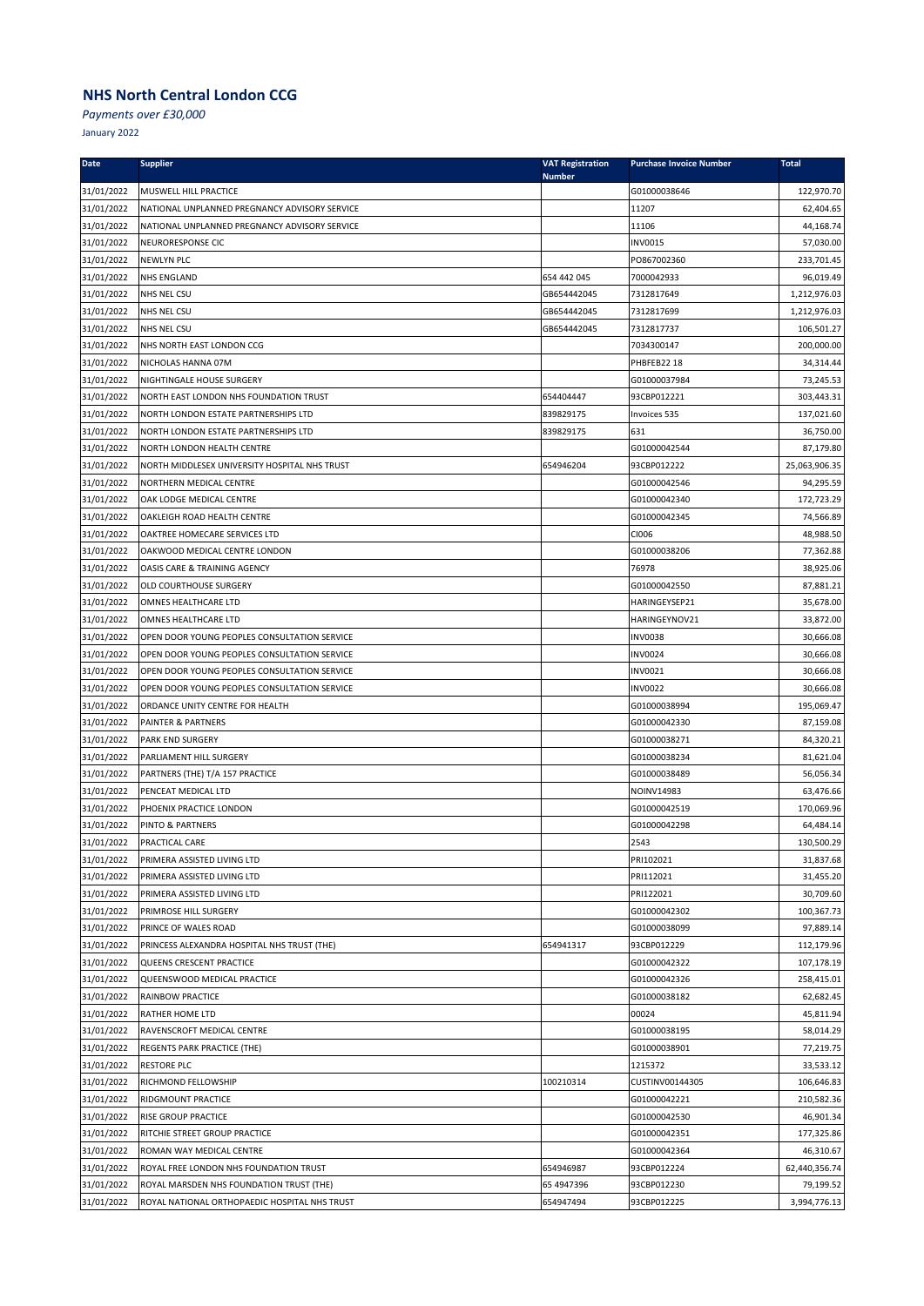*Payments over £30,000*

| Date                     | <b>Supplier</b>                                                      | <b>VAT Registration</b> | <b>Purchase Invoice Number</b>  | <b>Total</b>           |
|--------------------------|----------------------------------------------------------------------|-------------------------|---------------------------------|------------------------|
| 31/01/2022               | MUSWELL HILL PRACTICE                                                | <b>Number</b>           | G01000038646                    | 122,970.70             |
| 31/01/2022               | NATIONAL UNPLANNED PREGNANCY ADVISORY SERVICE                        |                         | 11207                           | 62,404.65              |
| 31/01/2022               | NATIONAL UNPLANNED PREGNANCY ADVISORY SERVICE                        |                         | 11106                           | 44,168.74              |
| 31/01/2022               | NEURORESPONSE CIC                                                    |                         | <b>INV0015</b>                  | 57,030.00              |
| 31/01/2022               | <b>NEWLYN PLC</b>                                                    |                         | PO867002360                     | 233,701.45             |
| 31/01/2022               | <b>NHS ENGLAND</b>                                                   | 654 442 045             | 7000042933                      | 96,019.49              |
| 31/01/2022               | NHS NEL CSU                                                          | GB654442045             | 7312817649                      | 1,212,976.03           |
| 31/01/2022               | NHS NEL CSU                                                          | GB654442045             | 7312817699                      | 1,212,976.03           |
| 31/01/2022               | NHS NEL CSU                                                          | GB654442045             | 7312817737                      | 106,501.27             |
| 31/01/2022               | NHS NORTH EAST LONDON CCG                                            |                         | 7034300147                      | 200,000.00             |
| 31/01/2022               | NICHOLAS HANNA 07M                                                   |                         | PHBFEB22 18                     | 34,314.44              |
| 31/01/2022               | NIGHTINGALE HOUSE SURGERY                                            |                         | G01000037984                    | 73,245.53              |
| 31/01/2022               | NORTH EAST LONDON NHS FOUNDATION TRUST                               | 654404447               | 93CBP012221                     | 303,443.31             |
| 31/01/2022               | NORTH LONDON ESTATE PARTNERSHIPS LTD                                 | 839829175               | Invoices 535                    | 137,021.60             |
| 31/01/2022               | NORTH LONDON ESTATE PARTNERSHIPS LTD                                 | 839829175               | 631                             | 36,750.00              |
| 31/01/2022               | NORTH LONDON HEALTH CENTRE                                           |                         | G01000042544                    | 87,179.80              |
| 31/01/2022               | NORTH MIDDLESEX UNIVERSITY HOSPITAL NHS TRUST                        | 654946204               | 93CBP012222                     | 25,063,906.35          |
| 31/01/2022               | NORTHERN MEDICAL CENTRE                                              |                         | G01000042546                    | 94,295.59              |
| 31/01/2022               | OAK LODGE MEDICAL CENTRE                                             |                         | G01000042340                    | 172,723.29             |
| 31/01/2022               | OAKLEIGH ROAD HEALTH CENTRE                                          |                         | G01000042345                    | 74,566.89              |
| 31/01/2022               | OAKTREE HOMECARE SERVICES LTD                                        |                         | CI006                           | 48,988.50              |
| 31/01/2022               | OAKWOOD MEDICAL CENTRE LONDON                                        |                         | G01000038206                    | 77,362.88              |
| 31/01/2022               | OASIS CARE & TRAINING AGENCY                                         |                         | 76978                           | 38,925.06              |
| 31/01/2022               | <b>OLD COURTHOUSE SURGERY</b>                                        |                         | G01000042550                    | 87,881.21              |
| 31/01/2022               | OMNES HEALTHCARE LTD                                                 |                         | HARINGEYSEP21                   | 35,678.00              |
| 31/01/2022<br>31/01/2022 | OMNES HEALTHCARE LTD<br>OPEN DOOR YOUNG PEOPLES CONSULTATION SERVICE |                         | HARINGEYNOV21<br><b>INV0038</b> | 33,872.00<br>30,666.08 |
| 31/01/2022               | OPEN DOOR YOUNG PEOPLES CONSULTATION SERVICE                         |                         | <b>INV0024</b>                  | 30,666.08              |
| 31/01/2022               | OPEN DOOR YOUNG PEOPLES CONSULTATION SERVICE                         |                         | INV0021                         | 30,666.08              |
| 31/01/2022               | OPEN DOOR YOUNG PEOPLES CONSULTATION SERVICE                         |                         | <b>INV0022</b>                  | 30,666.08              |
| 31/01/2022               | ORDANCE UNITY CENTRE FOR HEALTH                                      |                         | G01000038994                    | 195,069.47             |
| 31/01/2022               | PAINTER & PARTNERS                                                   |                         | G01000042330                    | 87,159.08              |
| 31/01/2022               | <b>PARK END SURGERY</b>                                              |                         | G01000038271                    | 84,320.21              |
| 31/01/2022               | PARLIAMENT HILL SURGERY                                              |                         | G01000038234                    | 81,621.04              |
| 31/01/2022               | PARTNERS (THE) T/A 157 PRACTICE                                      |                         | G01000038489                    | 56,056.34              |
| 31/01/2022               | PENCEAT MEDICAL LTD                                                  |                         | <b>NOINV14983</b>               | 63,476.66              |
| 31/01/2022               | PHOENIX PRACTICE LONDON                                              |                         | G01000042519                    | 170,069.96             |
| 31/01/2022               | <b>PINTO &amp; PARTNERS</b>                                          |                         | G01000042298                    | 64,484.14              |
| 31/01/2022               | PRACTICAL CARE                                                       |                         | 2543                            | 130,500.29             |
| 31/01/2022               | PRIMERA ASSISTED LIVING LTD                                          |                         | PRI102021                       | 31,837.68              |
| 31/01/2022               | PRIMERA ASSISTED LIVING LTD                                          |                         | PRI112021                       | 31,455.20              |
| 31/01/2022               | PRIMERA ASSISTED LIVING LTD                                          |                         | PRI122021                       | 30,709.60              |
| 31/01/2022               | PRIMROSE HILL SURGERY                                                |                         | G01000042302                    | 100,367.73             |
| 31/01/2022               | PRINCE OF WALES ROAD                                                 |                         | G01000038099                    | 97,889.14              |
| 31/01/2022               | PRINCESS ALEXANDRA HOSPITAL NHS TRUST (THE)                          | 654941317               | 93CBP012229                     | 112,179.96             |
| 31/01/2022               | QUEENS CRESCENT PRACTICE                                             |                         | G01000042322                    | 107,178.19             |
| 31/01/2022               | QUEENSWOOD MEDICAL PRACTICE                                          |                         | G01000042326                    | 258,415.01             |
| 31/01/2022               | RAINBOW PRACTICE                                                     |                         | G01000038182                    | 62,682.45              |
| 31/01/2022               | RATHER HOME LTD                                                      |                         | 00024                           | 45,811.94              |
| 31/01/2022               | RAVENSCROFT MEDICAL CENTRE                                           |                         | G01000038195                    | 58,014.29              |
| 31/01/2022               | REGENTS PARK PRACTICE (THE)                                          |                         | G01000038901                    | 77,219.75              |
| 31/01/2022               | <b>RESTORE PLC</b>                                                   |                         | 1215372                         | 33,533.12              |
| 31/01/2022               | RICHMOND FELLOWSHIP                                                  | 100210314               | CUSTINV00144305                 | 106,646.83             |
| 31/01/2022               | <b>RIDGMOUNT PRACTICE</b>                                            |                         | G01000042221                    | 210,582.36             |
| 31/01/2022               | <b>RISE GROUP PRACTICE</b>                                           |                         | G01000042530                    | 46,901.34              |
| 31/01/2022               | RITCHIE STREET GROUP PRACTICE                                        |                         | G01000042351                    | 177,325.86             |
| 31/01/2022               | ROMAN WAY MEDICAL CENTRE                                             |                         | G01000042364                    | 46,310.67              |
| 31/01/2022               | ROYAL FREE LONDON NHS FOUNDATION TRUST                               | 654946987               | 93CBP012224                     | 62,440,356.74          |
| 31/01/2022               | ROYAL MARSDEN NHS FOUNDATION TRUST (THE)                             | 65 4947396              | 93CBP012230                     | 79,199.52              |
| 31/01/2022               | ROYAL NATIONAL ORTHOPAEDIC HOSPITAL NHS TRUST                        | 654947494               | 93CBP012225                     | 3,994,776.13           |